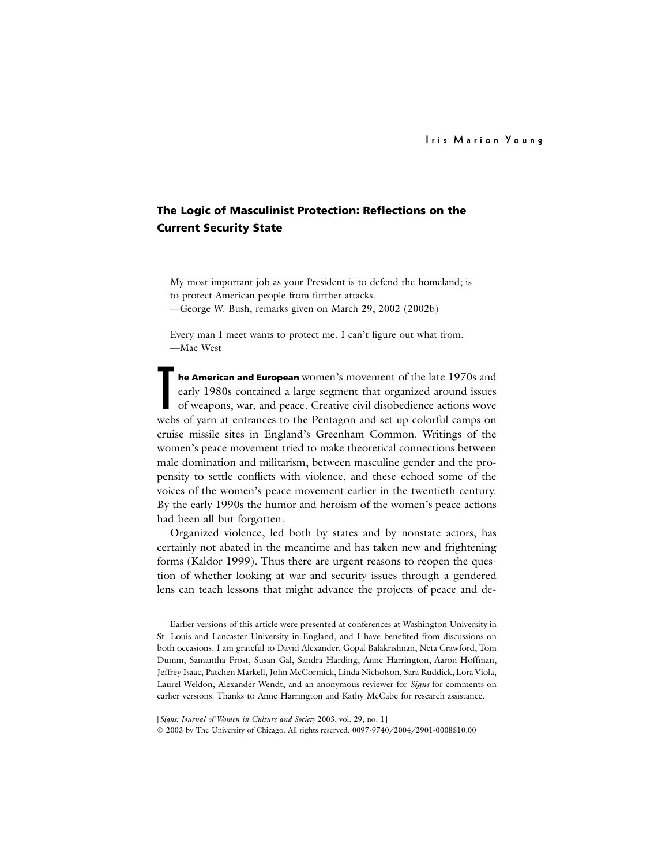# **The Logic of Masculinist Protection: Reflections on the Current Security State**

My most important job as your President is to defend the homeland; is to protect American people from further attacks. —George W. Bush, remarks given on March 29, 2002 (2002b)

Every man I meet wants to protect me. I can't figure out what from. —Mae West

**he American and European** women's movement of the late 1970s and early 1980s contained a large segment that organized around issues of weapons, war, and peace. Creative civil disobedience actions wove webs of yarn at entr **he American and European** women's movement of the late 1970s and early 1980s contained a large segment that organized around issues of weapons, war, and peace. Creative civil disobedience actions wove cruise missile sites in England's Greenham Common. Writings of the women's peace movement tried to make theoretical connections between male domination and militarism, between masculine gender and the propensity to settle conflicts with violence, and these echoed some of the voices of the women's peace movement earlier in the twentieth century. By the early 1990s the humor and heroism of the women's peace actions had been all but forgotten.

Organized violence, led both by states and by nonstate actors, has certainly not abated in the meantime and has taken new and frightening forms (Kaldor 1999). Thus there are urgent reasons to reopen the question of whether looking at war and security issues through a gendered lens can teach lessons that might advance the projects of peace and de-

Earlier versions of this article were presented at conferences at Washington University in St. Louis and Lancaster University in England, and I have benefited from discussions on both occasions. I am grateful to David Alexander, Gopal Balakrishnan, Neta Crawford, Tom Dumm, Samantha Frost, Susan Gal, Sandra Harding, Anne Harrington, Aaron Hoffman, Jeffrey Isaac, Patchen Markell, John McCormick, Linda Nicholson, Sara Ruddick, Lora Viola, Laurel Weldon, Alexander Wendt, and an anonymous reviewer for *Signs* for comments on earlier versions. Thanks to Anne Harrington and Kathy McCabe for research assistance.

[*Signs: Journal of Women in Culture and Society* 2003, vol. 29, no. 1] 2003 by The University of Chicago. All rights reserved. 0097-9740/2004/2901-0008\$10.00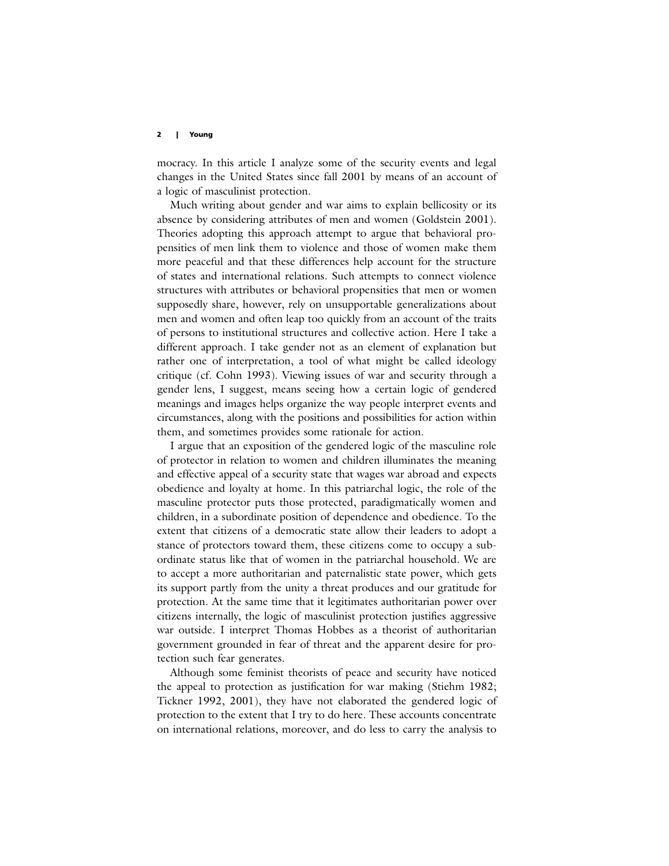mocracy. In this article I analyze some of the security events and legal changes in the United States since fall 2001 by means of an account of a logic of masculinist protection.

Much writing about gender and war aims to explain bellicosity or its absence by considering attributes of men and women (Goldstein 2001). Theories adopting this approach attempt to argue that behavioral propensities of men link them to violence and those of women make them more peaceful and that these differences help account for the structure of states and international relations. Such attempts to connect violence structures with attributes or behavioral propensities that men or women supposedly share, however, rely on unsupportable generalizations about men and women and often leap too quickly from an account of the traits of persons to institutional structures and collective action. Here I take a different approach. I take gender not as an element of explanation but rather one of interpretation, a tool of what might be called ideology critique (cf. Cohn 1993). Viewing issues of war and security through a gender lens, I suggest, means seeing how a certain logic of gendered meanings and images helps organize the way people interpret events and circumstances, along with the positions and possibilities for action within them, and sometimes provides some rationale for action.

I argue that an exposition of the gendered logic of the masculine role of protector in relation to women and children illuminates the meaning and effective appeal of a security state that wages war abroad and expects obedience and loyalty at home. In this patriarchal logic, the role of the masculine protector puts those protected, paradigmatically women and children, in a subordinate position of dependence and obedience. To the extent that citizens of a democratic state allow their leaders to adopt a stance of protectors toward them, these citizens come to occupy a subordinate status like that of women in the patriarchal household. We are to accept a more authoritarian and paternalistic state power, which gets its support partly from the unity a threat produces and our gratitude for protection. At the same time that it legitimates authoritarian power over citizens internally, the logic of masculinist protection justifies aggressive war outside. I interpret Thomas Hobbes as a theorist of authoritarian government grounded in fear of threat and the apparent desire for protection such fear generates.

Although some feminist theorists of peace and security have noticed the appeal to protection as justification for war making (Stiehm 1982; Tickner 1992, 2001), they have not elaborated the gendered logic of protection to the extent that I try to do here. These accounts concentrate on international relations, moreover, and do less to carry the analysis to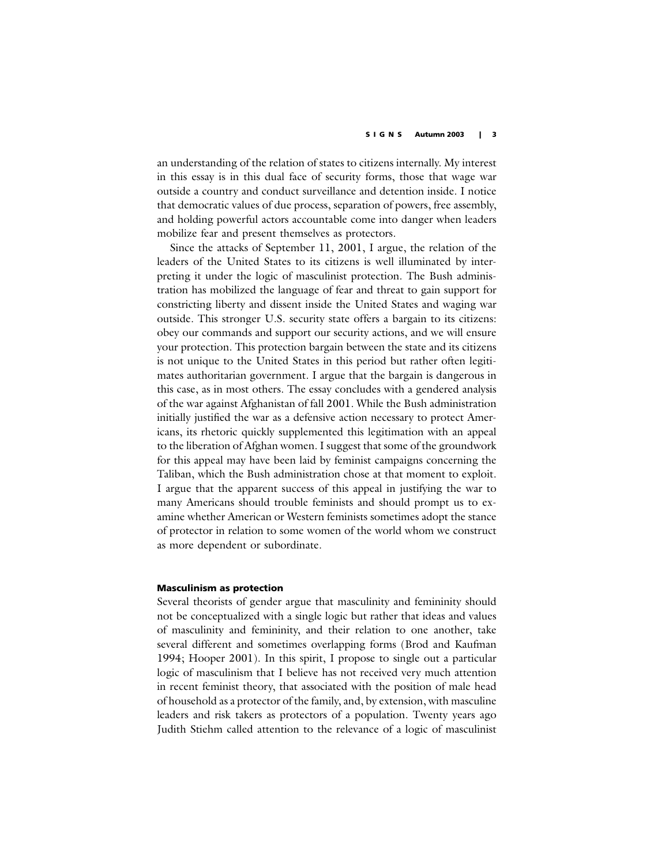an understanding of the relation of states to citizens internally. My interest in this essay is in this dual face of security forms, those that wage war outside a country and conduct surveillance and detention inside. I notice that democratic values of due process, separation of powers, free assembly, and holding powerful actors accountable come into danger when leaders mobilize fear and present themselves as protectors.

Since the attacks of September 11, 2001, I argue, the relation of the leaders of the United States to its citizens is well illuminated by interpreting it under the logic of masculinist protection. The Bush administration has mobilized the language of fear and threat to gain support for constricting liberty and dissent inside the United States and waging war outside. This stronger U.S. security state offers a bargain to its citizens: obey our commands and support our security actions, and we will ensure your protection. This protection bargain between the state and its citizens is not unique to the United States in this period but rather often legitimates authoritarian government. I argue that the bargain is dangerous in this case, as in most others. The essay concludes with a gendered analysis of the war against Afghanistan of fall 2001. While the Bush administration initially justified the war as a defensive action necessary to protect Americans, its rhetoric quickly supplemented this legitimation with an appeal to the liberation of Afghan women. I suggest that some of the groundwork for this appeal may have been laid by feminist campaigns concerning the Taliban, which the Bush administration chose at that moment to exploit. I argue that the apparent success of this appeal in justifying the war to many Americans should trouble feminists and should prompt us to examine whether American or Western feminists sometimes adopt the stance of protector in relation to some women of the world whom we construct as more dependent or subordinate.

# **Masculinism as protection**

Several theorists of gender argue that masculinity and femininity should not be conceptualized with a single logic but rather that ideas and values of masculinity and femininity, and their relation to one another, take several different and sometimes overlapping forms (Brod and Kaufman 1994; Hooper 2001). In this spirit, I propose to single out a particular logic of masculinism that I believe has not received very much attention in recent feminist theory, that associated with the position of male head of household as a protector of the family, and, by extension, with masculine leaders and risk takers as protectors of a population. Twenty years ago Judith Stiehm called attention to the relevance of a logic of masculinist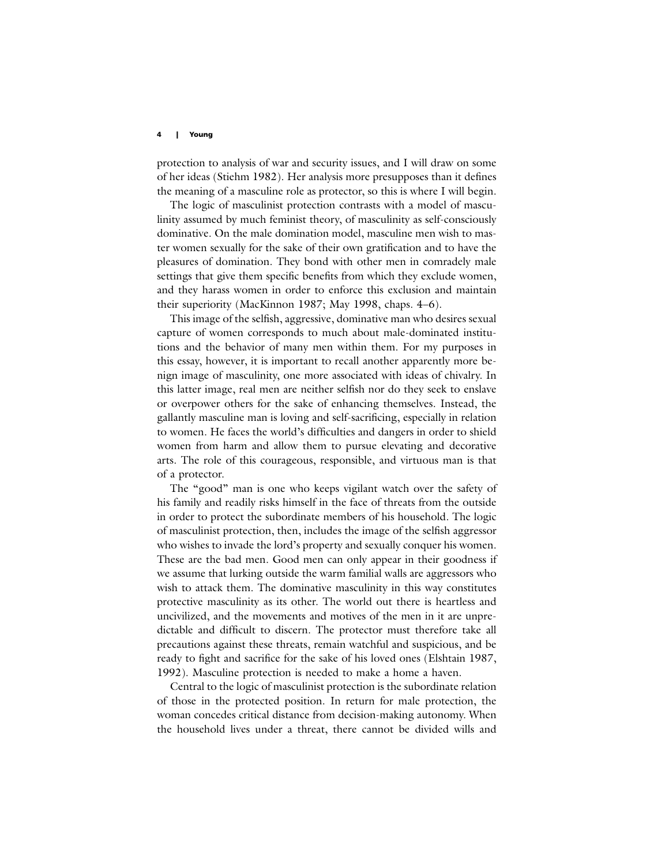protection to analysis of war and security issues, and I will draw on some of her ideas (Stiehm 1982). Her analysis more presupposes than it defines the meaning of a masculine role as protector, so this is where I will begin.

The logic of masculinist protection contrasts with a model of masculinity assumed by much feminist theory, of masculinity as self-consciously dominative. On the male domination model, masculine men wish to master women sexually for the sake of their own gratification and to have the pleasures of domination. They bond with other men in comradely male settings that give them specific benefits from which they exclude women, and they harass women in order to enforce this exclusion and maintain their superiority (MacKinnon 1987; May 1998, chaps. 4–6).

This image of the selfish, aggressive, dominative man who desires sexual capture of women corresponds to much about male-dominated institutions and the behavior of many men within them. For my purposes in this essay, however, it is important to recall another apparently more benign image of masculinity, one more associated with ideas of chivalry. In this latter image, real men are neither selfish nor do they seek to enslave or overpower others for the sake of enhancing themselves. Instead, the gallantly masculine man is loving and self-sacrificing, especially in relation to women. He faces the world's difficulties and dangers in order to shield women from harm and allow them to pursue elevating and decorative arts. The role of this courageous, responsible, and virtuous man is that of a protector.

The "good" man is one who keeps vigilant watch over the safety of his family and readily risks himself in the face of threats from the outside in order to protect the subordinate members of his household. The logic of masculinist protection, then, includes the image of the selfish aggressor who wishes to invade the lord's property and sexually conquer his women. These are the bad men. Good men can only appear in their goodness if we assume that lurking outside the warm familial walls are aggressors who wish to attack them. The dominative masculinity in this way constitutes protective masculinity as its other. The world out there is heartless and uncivilized, and the movements and motives of the men in it are unpredictable and difficult to discern. The protector must therefore take all precautions against these threats, remain watchful and suspicious, and be ready to fight and sacrifice for the sake of his loved ones (Elshtain 1987, 1992). Masculine protection is needed to make a home a haven.

Central to the logic of masculinist protection is the subordinate relation of those in the protected position. In return for male protection, the woman concedes critical distance from decision-making autonomy. When the household lives under a threat, there cannot be divided wills and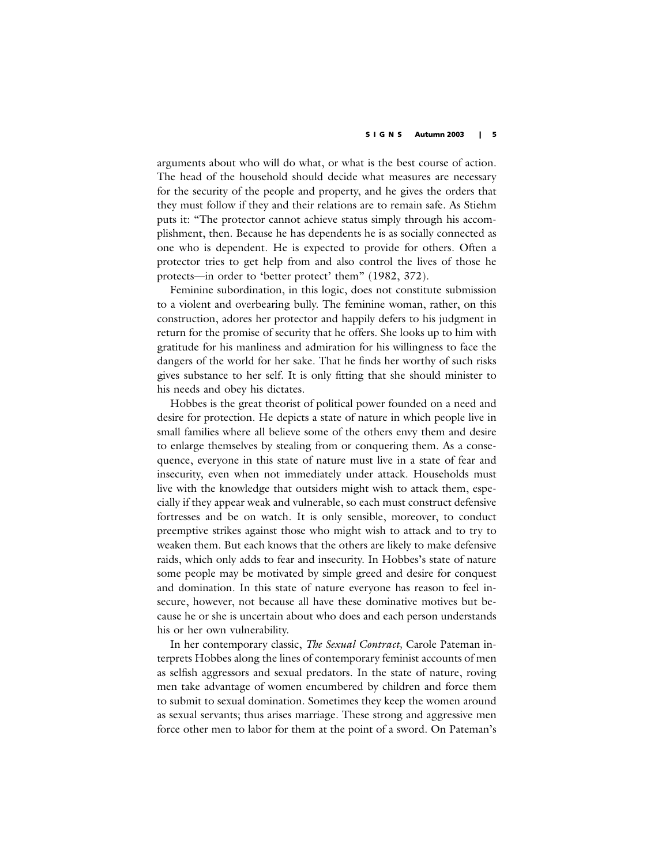arguments about who will do what, or what is the best course of action. The head of the household should decide what measures are necessary for the security of the people and property, and he gives the orders that they must follow if they and their relations are to remain safe. As Stiehm puts it: "The protector cannot achieve status simply through his accomplishment, then. Because he has dependents he is as socially connected as one who is dependent. He is expected to provide for others. Often a protector tries to get help from and also control the lives of those he protects—in order to 'better protect' them" (1982, 372).

Feminine subordination, in this logic, does not constitute submission to a violent and overbearing bully. The feminine woman, rather, on this construction, adores her protector and happily defers to his judgment in return for the promise of security that he offers. She looks up to him with gratitude for his manliness and admiration for his willingness to face the dangers of the world for her sake. That he finds her worthy of such risks gives substance to her self. It is only fitting that she should minister to his needs and obey his dictates.

Hobbes is the great theorist of political power founded on a need and desire for protection. He depicts a state of nature in which people live in small families where all believe some of the others envy them and desire to enlarge themselves by stealing from or conquering them. As a consequence, everyone in this state of nature must live in a state of fear and insecurity, even when not immediately under attack. Households must live with the knowledge that outsiders might wish to attack them, especially if they appear weak and vulnerable, so each must construct defensive fortresses and be on watch. It is only sensible, moreover, to conduct preemptive strikes against those who might wish to attack and to try to weaken them. But each knows that the others are likely to make defensive raids, which only adds to fear and insecurity. In Hobbes's state of nature some people may be motivated by simple greed and desire for conquest and domination. In this state of nature everyone has reason to feel insecure, however, not because all have these dominative motives but because he or she is uncertain about who does and each person understands his or her own vulnerability.

In her contemporary classic, *The Sexual Contract,* Carole Pateman interprets Hobbes along the lines of contemporary feminist accounts of men as selfish aggressors and sexual predators. In the state of nature, roving men take advantage of women encumbered by children and force them to submit to sexual domination. Sometimes they keep the women around as sexual servants; thus arises marriage. These strong and aggressive men force other men to labor for them at the point of a sword. On Pateman's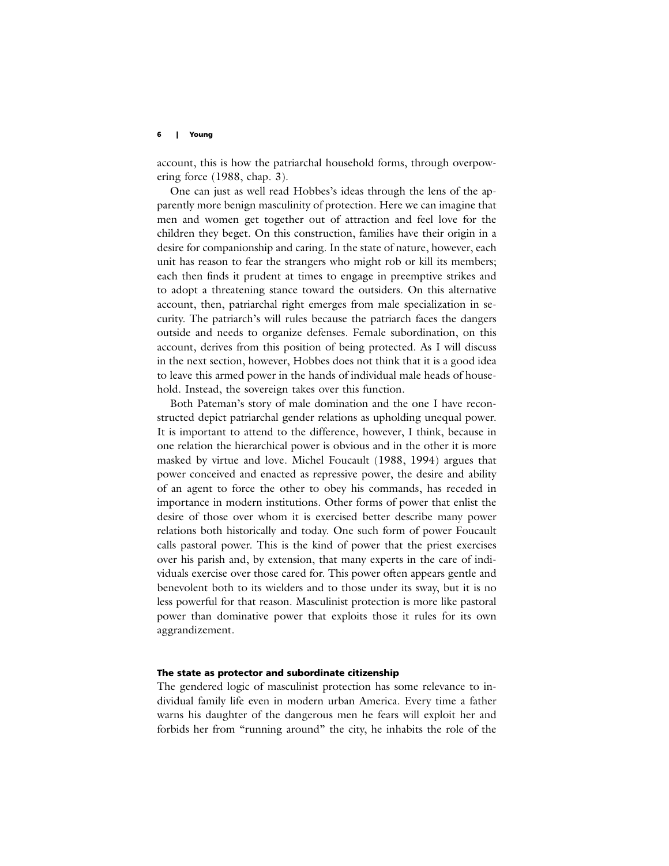account, this is how the patriarchal household forms, through overpowering force (1988, chap. 3).

One can just as well read Hobbes's ideas through the lens of the apparently more benign masculinity of protection. Here we can imagine that men and women get together out of attraction and feel love for the children they beget. On this construction, families have their origin in a desire for companionship and caring. In the state of nature, however, each unit has reason to fear the strangers who might rob or kill its members; each then finds it prudent at times to engage in preemptive strikes and to adopt a threatening stance toward the outsiders. On this alternative account, then, patriarchal right emerges from male specialization in security. The patriarch's will rules because the patriarch faces the dangers outside and needs to organize defenses. Female subordination, on this account, derives from this position of being protected. As I will discuss in the next section, however, Hobbes does not think that it is a good idea to leave this armed power in the hands of individual male heads of household. Instead, the sovereign takes over this function.

Both Pateman's story of male domination and the one I have reconstructed depict patriarchal gender relations as upholding unequal power. It is important to attend to the difference, however, I think, because in one relation the hierarchical power is obvious and in the other it is more masked by virtue and love. Michel Foucault (1988, 1994) argues that power conceived and enacted as repressive power, the desire and ability of an agent to force the other to obey his commands, has receded in importance in modern institutions. Other forms of power that enlist the desire of those over whom it is exercised better describe many power relations both historically and today. One such form of power Foucault calls pastoral power. This is the kind of power that the priest exercises over his parish and, by extension, that many experts in the care of individuals exercise over those cared for. This power often appears gentle and benevolent both to its wielders and to those under its sway, but it is no less powerful for that reason. Masculinist protection is more like pastoral power than dominative power that exploits those it rules for its own aggrandizement.

# **The state as protector and subordinate citizenship**

The gendered logic of masculinist protection has some relevance to individual family life even in modern urban America. Every time a father warns his daughter of the dangerous men he fears will exploit her and forbids her from "running around" the city, he inhabits the role of the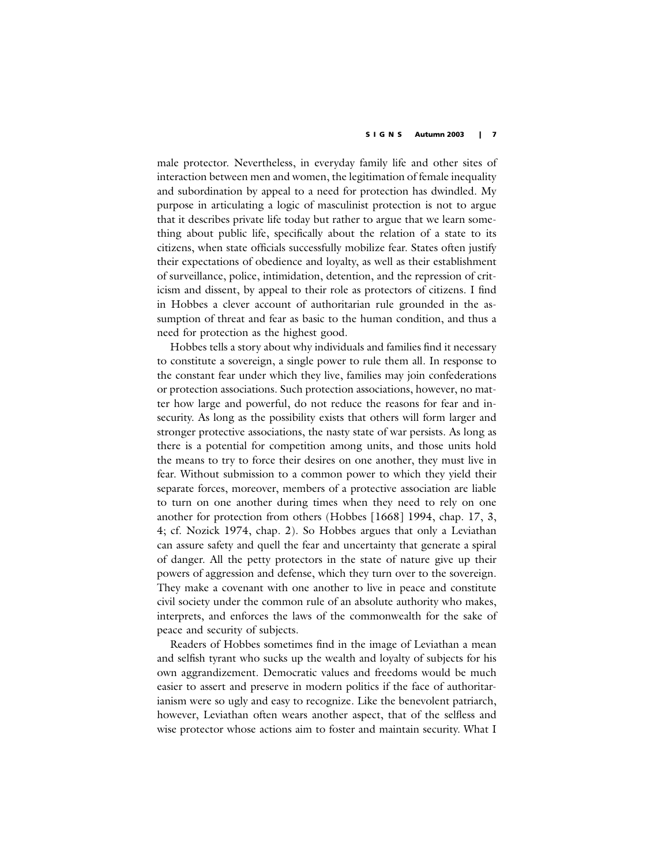male protector. Nevertheless, in everyday family life and other sites of interaction between men and women, the legitimation of female inequality and subordination by appeal to a need for protection has dwindled. My purpose in articulating a logic of masculinist protection is not to argue that it describes private life today but rather to argue that we learn something about public life, specifically about the relation of a state to its citizens, when state officials successfully mobilize fear. States often justify their expectations of obedience and loyalty, as well as their establishment of surveillance, police, intimidation, detention, and the repression of criticism and dissent, by appeal to their role as protectors of citizens. I find in Hobbes a clever account of authoritarian rule grounded in the assumption of threat and fear as basic to the human condition, and thus a need for protection as the highest good.

Hobbes tells a story about why individuals and families find it necessary to constitute a sovereign, a single power to rule them all. In response to the constant fear under which they live, families may join confederations or protection associations. Such protection associations, however, no matter how large and powerful, do not reduce the reasons for fear and insecurity. As long as the possibility exists that others will form larger and stronger protective associations, the nasty state of war persists. As long as there is a potential for competition among units, and those units hold the means to try to force their desires on one another, they must live in fear. Without submission to a common power to which they yield their separate forces, moreover, members of a protective association are liable to turn on one another during times when they need to rely on one another for protection from others (Hobbes [1668] 1994, chap. 17, 3, 4; cf. Nozick 1974, chap. 2). So Hobbes argues that only a Leviathan can assure safety and quell the fear and uncertainty that generate a spiral of danger. All the petty protectors in the state of nature give up their powers of aggression and defense, which they turn over to the sovereign. They make a covenant with one another to live in peace and constitute civil society under the common rule of an absolute authority who makes, interprets, and enforces the laws of the commonwealth for the sake of peace and security of subjects.

Readers of Hobbes sometimes find in the image of Leviathan a mean and selfish tyrant who sucks up the wealth and loyalty of subjects for his own aggrandizement. Democratic values and freedoms would be much easier to assert and preserve in modern politics if the face of authoritarianism were so ugly and easy to recognize. Like the benevolent patriarch, however, Leviathan often wears another aspect, that of the selfless and wise protector whose actions aim to foster and maintain security. What I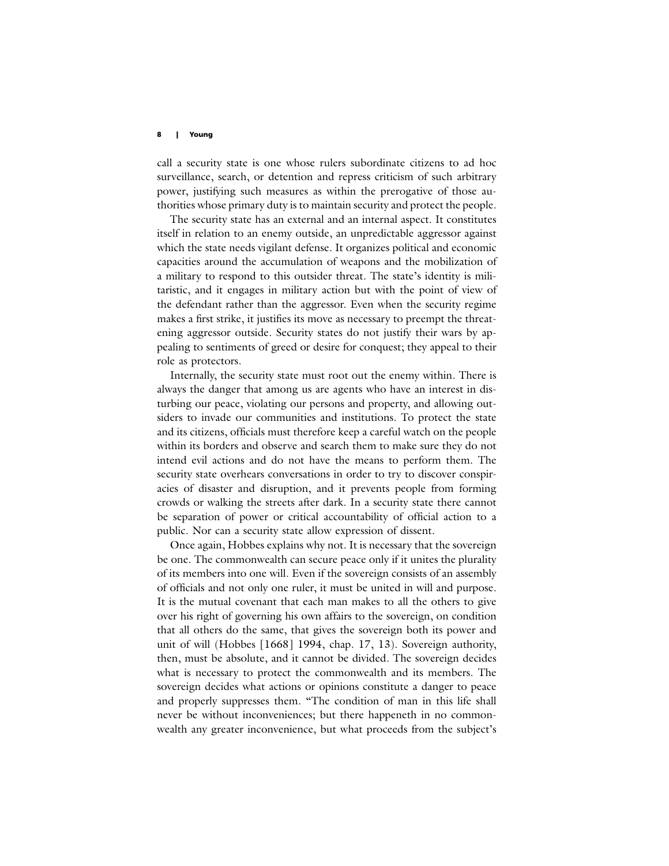call a security state is one whose rulers subordinate citizens to ad hoc surveillance, search, or detention and repress criticism of such arbitrary power, justifying such measures as within the prerogative of those authorities whose primary duty is to maintain security and protect the people.

The security state has an external and an internal aspect. It constitutes itself in relation to an enemy outside, an unpredictable aggressor against which the state needs vigilant defense. It organizes political and economic capacities around the accumulation of weapons and the mobilization of a military to respond to this outsider threat. The state's identity is militaristic, and it engages in military action but with the point of view of the defendant rather than the aggressor. Even when the security regime makes a first strike, it justifies its move as necessary to preempt the threatening aggressor outside. Security states do not justify their wars by appealing to sentiments of greed or desire for conquest; they appeal to their role as protectors.

Internally, the security state must root out the enemy within. There is always the danger that among us are agents who have an interest in disturbing our peace, violating our persons and property, and allowing outsiders to invade our communities and institutions. To protect the state and its citizens, officials must therefore keep a careful watch on the people within its borders and observe and search them to make sure they do not intend evil actions and do not have the means to perform them. The security state overhears conversations in order to try to discover conspiracies of disaster and disruption, and it prevents people from forming crowds or walking the streets after dark. In a security state there cannot be separation of power or critical accountability of official action to a public. Nor can a security state allow expression of dissent.

Once again, Hobbes explains why not. It is necessary that the sovereign be one. The commonwealth can secure peace only if it unites the plurality of its members into one will. Even if the sovereign consists of an assembly of officials and not only one ruler, it must be united in will and purpose. It is the mutual covenant that each man makes to all the others to give over his right of governing his own affairs to the sovereign, on condition that all others do the same, that gives the sovereign both its power and unit of will (Hobbes [1668] 1994, chap. 17, 13). Sovereign authority, then, must be absolute, and it cannot be divided. The sovereign decides what is necessary to protect the commonwealth and its members. The sovereign decides what actions or opinions constitute a danger to peace and properly suppresses them. "The condition of man in this life shall never be without inconveniences; but there happeneth in no commonwealth any greater inconvenience, but what proceeds from the subject's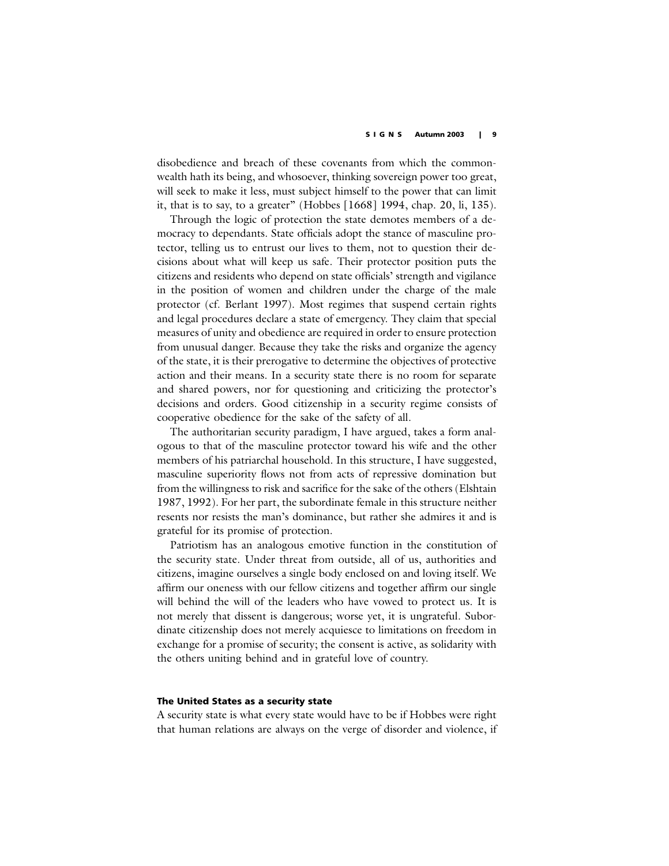disobedience and breach of these covenants from which the commonwealth hath its being, and whosoever, thinking sovereign power too great, will seek to make it less, must subject himself to the power that can limit it, that is to say, to a greater" (Hobbes [1668] 1994, chap. 20, li, 135).

Through the logic of protection the state demotes members of a democracy to dependants. State officials adopt the stance of masculine protector, telling us to entrust our lives to them, not to question their decisions about what will keep us safe. Their protector position puts the citizens and residents who depend on state officials' strength and vigilance in the position of women and children under the charge of the male protector (cf. Berlant 1997). Most regimes that suspend certain rights and legal procedures declare a state of emergency. They claim that special measures of unity and obedience are required in order to ensure protection from unusual danger. Because they take the risks and organize the agency of the state, it is their prerogative to determine the objectives of protective action and their means. In a security state there is no room for separate and shared powers, nor for questioning and criticizing the protector's decisions and orders. Good citizenship in a security regime consists of cooperative obedience for the sake of the safety of all.

The authoritarian security paradigm, I have argued, takes a form analogous to that of the masculine protector toward his wife and the other members of his patriarchal household. In this structure, I have suggested, masculine superiority flows not from acts of repressive domination but from the willingness to risk and sacrifice for the sake of the others (Elshtain 1987, 1992). For her part, the subordinate female in this structure neither resents nor resists the man's dominance, but rather she admires it and is grateful for its promise of protection.

Patriotism has an analogous emotive function in the constitution of the security state. Under threat from outside, all of us, authorities and citizens, imagine ourselves a single body enclosed on and loving itself. We affirm our oneness with our fellow citizens and together affirm our single will behind the will of the leaders who have vowed to protect us. It is not merely that dissent is dangerous; worse yet, it is ungrateful. Subordinate citizenship does not merely acquiesce to limitations on freedom in exchange for a promise of security; the consent is active, as solidarity with the others uniting behind and in grateful love of country.

## **The United States as a security state**

A security state is what every state would have to be if Hobbes were right that human relations are always on the verge of disorder and violence, if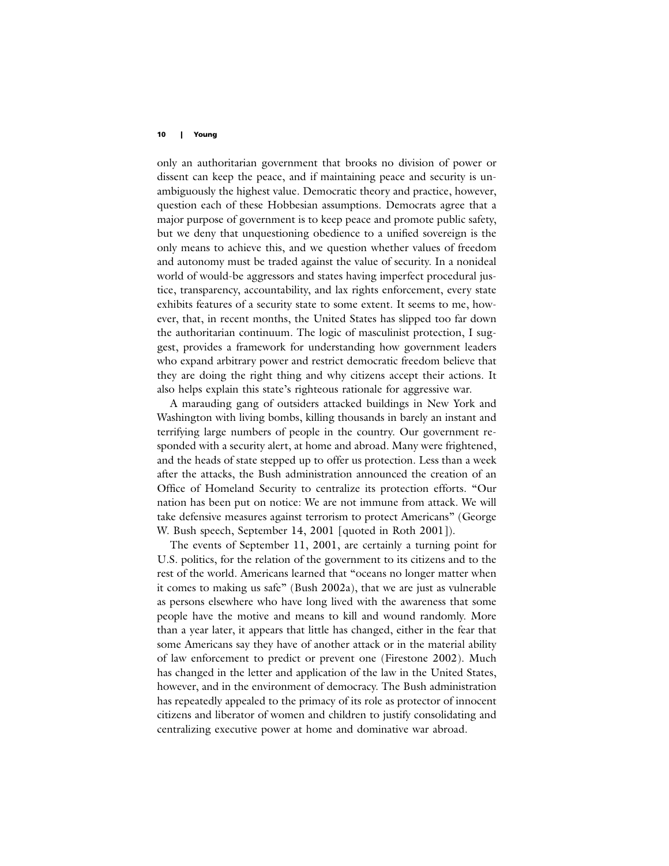only an authoritarian government that brooks no division of power or dissent can keep the peace, and if maintaining peace and security is unambiguously the highest value. Democratic theory and practice, however, question each of these Hobbesian assumptions. Democrats agree that a major purpose of government is to keep peace and promote public safety, but we deny that unquestioning obedience to a unified sovereign is the only means to achieve this, and we question whether values of freedom and autonomy must be traded against the value of security. In a nonideal world of would-be aggressors and states having imperfect procedural justice, transparency, accountability, and lax rights enforcement, every state exhibits features of a security state to some extent. It seems to me, however, that, in recent months, the United States has slipped too far down the authoritarian continuum. The logic of masculinist protection, I suggest, provides a framework for understanding how government leaders who expand arbitrary power and restrict democratic freedom believe that they are doing the right thing and why citizens accept their actions. It also helps explain this state's righteous rationale for aggressive war.

A marauding gang of outsiders attacked buildings in New York and Washington with living bombs, killing thousands in barely an instant and terrifying large numbers of people in the country. Our government responded with a security alert, at home and abroad. Many were frightened, and the heads of state stepped up to offer us protection. Less than a week after the attacks, the Bush administration announced the creation of an Office of Homeland Security to centralize its protection efforts. "Our nation has been put on notice: We are not immune from attack. We will take defensive measures against terrorism to protect Americans" (George W. Bush speech, September 14, 2001 [quoted in Roth 2001]).

The events of September 11, 2001, are certainly a turning point for U.S. politics, for the relation of the government to its citizens and to the rest of the world. Americans learned that "oceans no longer matter when it comes to making us safe" (Bush 2002a), that we are just as vulnerable as persons elsewhere who have long lived with the awareness that some people have the motive and means to kill and wound randomly. More than a year later, it appears that little has changed, either in the fear that some Americans say they have of another attack or in the material ability of law enforcement to predict or prevent one (Firestone 2002). Much has changed in the letter and application of the law in the United States, however, and in the environment of democracy. The Bush administration has repeatedly appealed to the primacy of its role as protector of innocent citizens and liberator of women and children to justify consolidating and centralizing executive power at home and dominative war abroad.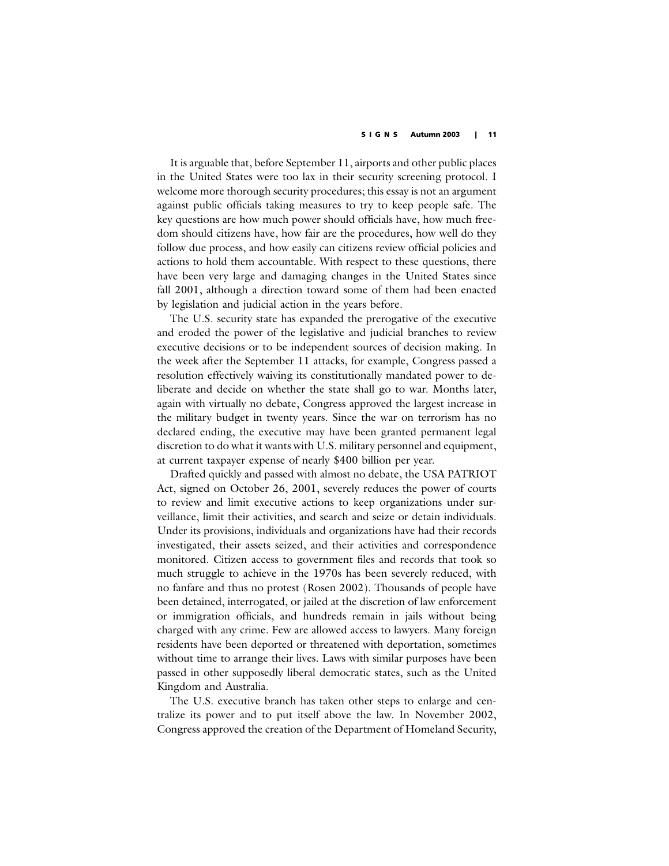It is arguable that, before September 11, airports and other public places in the United States were too lax in their security screening protocol. I welcome more thorough security procedures; this essay is not an argument against public officials taking measures to try to keep people safe. The key questions are how much power should officials have, how much freedom should citizens have, how fair are the procedures, how well do they follow due process, and how easily can citizens review official policies and actions to hold them accountable. With respect to these questions, there have been very large and damaging changes in the United States since fall 2001, although a direction toward some of them had been enacted by legislation and judicial action in the years before.

The U.S. security state has expanded the prerogative of the executive and eroded the power of the legislative and judicial branches to review executive decisions or to be independent sources of decision making. In the week after the September 11 attacks, for example, Congress passed a resolution effectively waiving its constitutionally mandated power to deliberate and decide on whether the state shall go to war. Months later, again with virtually no debate, Congress approved the largest increase in the military budget in twenty years. Since the war on terrorism has no declared ending, the executive may have been granted permanent legal discretion to do what it wants with U.S. military personnel and equipment, at current taxpayer expense of nearly \$400 billion per year.

Drafted quickly and passed with almost no debate, the USA PATRIOT Act, signed on October 26, 2001, severely reduces the power of courts to review and limit executive actions to keep organizations under surveillance, limit their activities, and search and seize or detain individuals. Under its provisions, individuals and organizations have had their records investigated, their assets seized, and their activities and correspondence monitored. Citizen access to government files and records that took so much struggle to achieve in the 1970s has been severely reduced, with no fanfare and thus no protest (Rosen 2002). Thousands of people have been detained, interrogated, or jailed at the discretion of law enforcement or immigration officials, and hundreds remain in jails without being charged with any crime. Few are allowed access to lawyers. Many foreign residents have been deported or threatened with deportation, sometimes without time to arrange their lives. Laws with similar purposes have been passed in other supposedly liberal democratic states, such as the United Kingdom and Australia.

The U.S. executive branch has taken other steps to enlarge and centralize its power and to put itself above the law. In November 2002, Congress approved the creation of the Department of Homeland Security,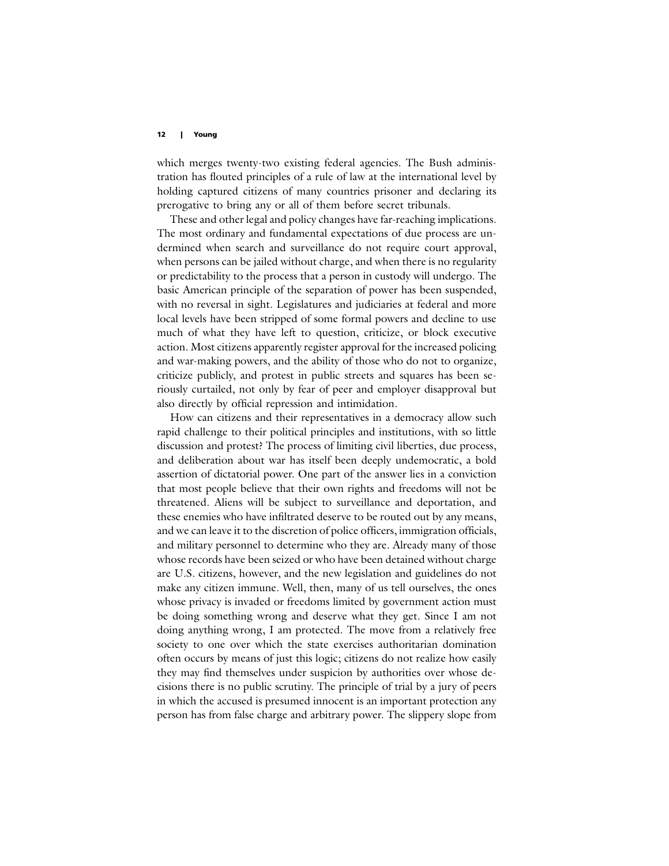which merges twenty-two existing federal agencies. The Bush administration has flouted principles of a rule of law at the international level by holding captured citizens of many countries prisoner and declaring its prerogative to bring any or all of them before secret tribunals.

These and other legal and policy changes have far-reaching implications. The most ordinary and fundamental expectations of due process are undermined when search and surveillance do not require court approval, when persons can be jailed without charge, and when there is no regularity or predictability to the process that a person in custody will undergo. The basic American principle of the separation of power has been suspended, with no reversal in sight. Legislatures and judiciaries at federal and more local levels have been stripped of some formal powers and decline to use much of what they have left to question, criticize, or block executive action. Most citizens apparently register approval for the increased policing and war-making powers, and the ability of those who do not to organize, criticize publicly, and protest in public streets and squares has been seriously curtailed, not only by fear of peer and employer disapproval but also directly by official repression and intimidation.

How can citizens and their representatives in a democracy allow such rapid challenge to their political principles and institutions, with so little discussion and protest? The process of limiting civil liberties, due process, and deliberation about war has itself been deeply undemocratic, a bold assertion of dictatorial power. One part of the answer lies in a conviction that most people believe that their own rights and freedoms will not be threatened. Aliens will be subject to surveillance and deportation, and these enemies who have infiltrated deserve to be routed out by any means, and we can leave it to the discretion of police officers, immigration officials, and military personnel to determine who they are. Already many of those whose records have been seized or who have been detained without charge are U.S. citizens, however, and the new legislation and guidelines do not make any citizen immune. Well, then, many of us tell ourselves, the ones whose privacy is invaded or freedoms limited by government action must be doing something wrong and deserve what they get. Since I am not doing anything wrong, I am protected. The move from a relatively free society to one over which the state exercises authoritarian domination often occurs by means of just this logic; citizens do not realize how easily they may find themselves under suspicion by authorities over whose decisions there is no public scrutiny. The principle of trial by a jury of peers in which the accused is presumed innocent is an important protection any person has from false charge and arbitrary power. The slippery slope from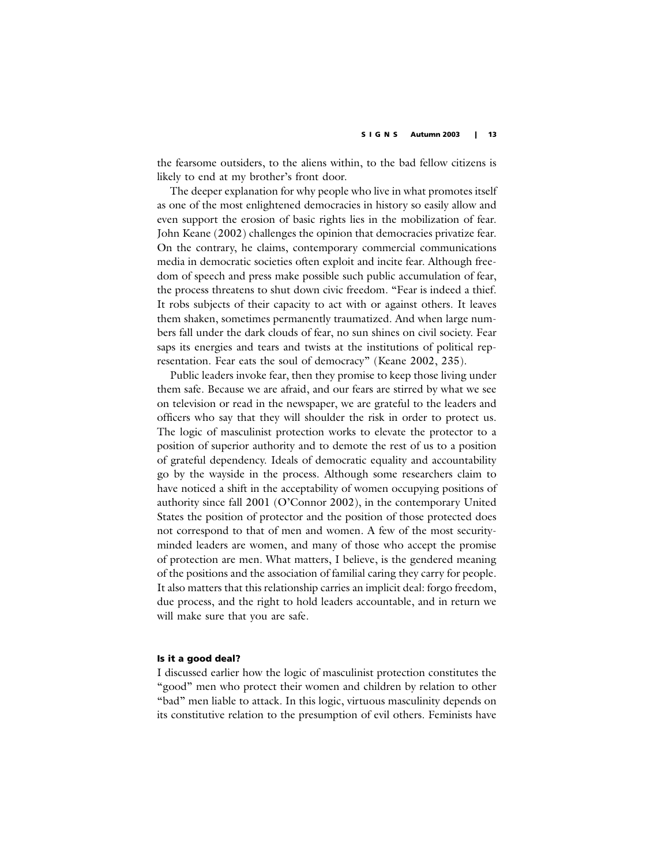the fearsome outsiders, to the aliens within, to the bad fellow citizens is likely to end at my brother's front door.

The deeper explanation for why people who live in what promotes itself as one of the most enlightened democracies in history so easily allow and even support the erosion of basic rights lies in the mobilization of fear. John Keane (2002) challenges the opinion that democracies privatize fear. On the contrary, he claims, contemporary commercial communications media in democratic societies often exploit and incite fear. Although freedom of speech and press make possible such public accumulation of fear, the process threatens to shut down civic freedom. "Fear is indeed a thief. It robs subjects of their capacity to act with or against others. It leaves them shaken, sometimes permanently traumatized. And when large numbers fall under the dark clouds of fear, no sun shines on civil society. Fear saps its energies and tears and twists at the institutions of political representation. Fear eats the soul of democracy" (Keane 2002, 235).

Public leaders invoke fear, then they promise to keep those living under them safe. Because we are afraid, and our fears are stirred by what we see on television or read in the newspaper, we are grateful to the leaders and officers who say that they will shoulder the risk in order to protect us. The logic of masculinist protection works to elevate the protector to a position of superior authority and to demote the rest of us to a position of grateful dependency. Ideals of democratic equality and accountability go by the wayside in the process. Although some researchers claim to have noticed a shift in the acceptability of women occupying positions of authority since fall 2001 (O'Connor 2002), in the contemporary United States the position of protector and the position of those protected does not correspond to that of men and women. A few of the most securityminded leaders are women, and many of those who accept the promise of protection are men. What matters, I believe, is the gendered meaning of the positions and the association of familial caring they carry for people. It also matters that this relationship carries an implicit deal: forgo freedom, due process, and the right to hold leaders accountable, and in return we will make sure that you are safe.

# **Is it a good deal?**

I discussed earlier how the logic of masculinist protection constitutes the "good" men who protect their women and children by relation to other "bad" men liable to attack. In this logic, virtuous masculinity depends on its constitutive relation to the presumption of evil others. Feminists have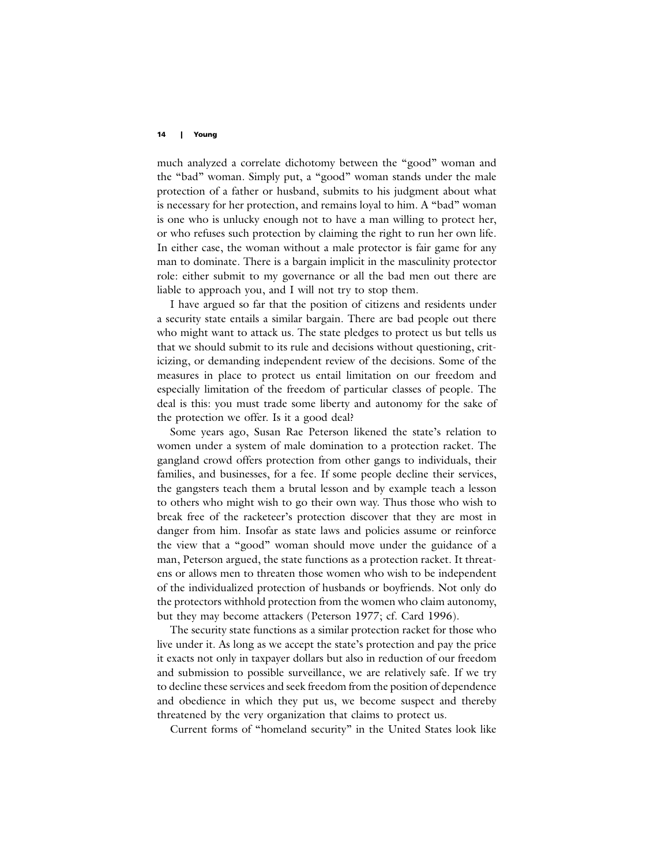much analyzed a correlate dichotomy between the "good" woman and the "bad" woman. Simply put, a "good" woman stands under the male protection of a father or husband, submits to his judgment about what is necessary for her protection, and remains loyal to him. A "bad" woman is one who is unlucky enough not to have a man willing to protect her, or who refuses such protection by claiming the right to run her own life. In either case, the woman without a male protector is fair game for any man to dominate. There is a bargain implicit in the masculinity protector role: either submit to my governance or all the bad men out there are liable to approach you, and I will not try to stop them.

I have argued so far that the position of citizens and residents under a security state entails a similar bargain. There are bad people out there who might want to attack us. The state pledges to protect us but tells us that we should submit to its rule and decisions without questioning, criticizing, or demanding independent review of the decisions. Some of the measures in place to protect us entail limitation on our freedom and especially limitation of the freedom of particular classes of people. The deal is this: you must trade some liberty and autonomy for the sake of the protection we offer. Is it a good deal?

Some years ago, Susan Rae Peterson likened the state's relation to women under a system of male domination to a protection racket. The gangland crowd offers protection from other gangs to individuals, their families, and businesses, for a fee. If some people decline their services, the gangsters teach them a brutal lesson and by example teach a lesson to others who might wish to go their own way. Thus those who wish to break free of the racketeer's protection discover that they are most in danger from him. Insofar as state laws and policies assume or reinforce the view that a "good" woman should move under the guidance of a man, Peterson argued, the state functions as a protection racket. It threatens or allows men to threaten those women who wish to be independent of the individualized protection of husbands or boyfriends. Not only do the protectors withhold protection from the women who claim autonomy, but they may become attackers (Peterson 1977; cf. Card 1996).

The security state functions as a similar protection racket for those who live under it. As long as we accept the state's protection and pay the price it exacts not only in taxpayer dollars but also in reduction of our freedom and submission to possible surveillance, we are relatively safe. If we try to decline these services and seek freedom from the position of dependence and obedience in which they put us, we become suspect and thereby threatened by the very organization that claims to protect us.

Current forms of "homeland security" in the United States look like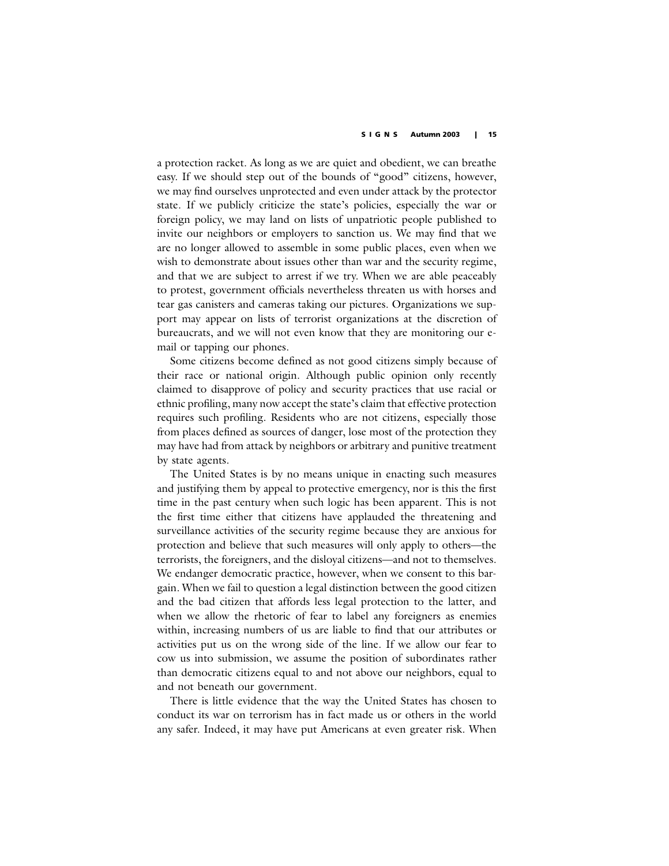a protection racket. As long as we are quiet and obedient, we can breathe easy. If we should step out of the bounds of "good" citizens, however, we may find ourselves unprotected and even under attack by the protector state. If we publicly criticize the state's policies, especially the war or foreign policy, we may land on lists of unpatriotic people published to invite our neighbors or employers to sanction us. We may find that we are no longer allowed to assemble in some public places, even when we wish to demonstrate about issues other than war and the security regime, and that we are subject to arrest if we try. When we are able peaceably to protest, government officials nevertheless threaten us with horses and tear gas canisters and cameras taking our pictures. Organizations we support may appear on lists of terrorist organizations at the discretion of bureaucrats, and we will not even know that they are monitoring our email or tapping our phones.

Some citizens become defined as not good citizens simply because of their race or national origin. Although public opinion only recently claimed to disapprove of policy and security practices that use racial or ethnic profiling, many now accept the state's claim that effective protection requires such profiling. Residents who are not citizens, especially those from places defined as sources of danger, lose most of the protection they may have had from attack by neighbors or arbitrary and punitive treatment by state agents.

The United States is by no means unique in enacting such measures and justifying them by appeal to protective emergency, nor is this the first time in the past century when such logic has been apparent. This is not the first time either that citizens have applauded the threatening and surveillance activities of the security regime because they are anxious for protection and believe that such measures will only apply to others—the terrorists, the foreigners, and the disloyal citizens—and not to themselves. We endanger democratic practice, however, when we consent to this bargain. When we fail to question a legal distinction between the good citizen and the bad citizen that affords less legal protection to the latter, and when we allow the rhetoric of fear to label any foreigners as enemies within, increasing numbers of us are liable to find that our attributes or activities put us on the wrong side of the line. If we allow our fear to cow us into submission, we assume the position of subordinates rather than democratic citizens equal to and not above our neighbors, equal to and not beneath our government.

There is little evidence that the way the United States has chosen to conduct its war on terrorism has in fact made us or others in the world any safer. Indeed, it may have put Americans at even greater risk. When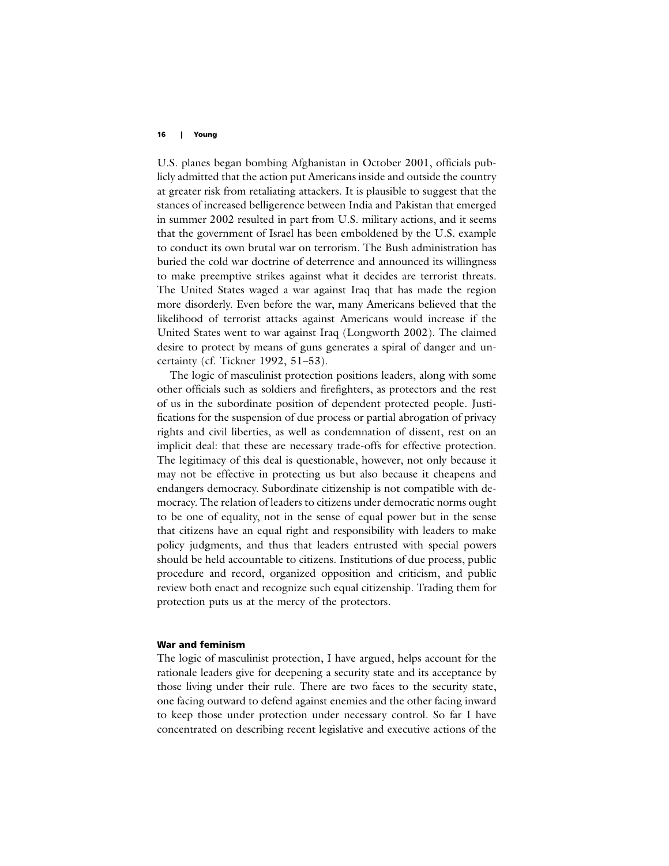U.S. planes began bombing Afghanistan in October 2001, officials publicly admitted that the action put Americans inside and outside the country at greater risk from retaliating attackers. It is plausible to suggest that the stances of increased belligerence between India and Pakistan that emerged in summer 2002 resulted in part from U.S. military actions, and it seems that the government of Israel has been emboldened by the U.S. example to conduct its own brutal war on terrorism. The Bush administration has buried the cold war doctrine of deterrence and announced its willingness to make preemptive strikes against what it decides are terrorist threats. The United States waged a war against Iraq that has made the region more disorderly. Even before the war, many Americans believed that the likelihood of terrorist attacks against Americans would increase if the United States went to war against Iraq (Longworth 2002). The claimed desire to protect by means of guns generates a spiral of danger and uncertainty (cf. Tickner 1992, 51–53).

The logic of masculinist protection positions leaders, along with some other officials such as soldiers and firefighters, as protectors and the rest of us in the subordinate position of dependent protected people. Justifications for the suspension of due process or partial abrogation of privacy rights and civil liberties, as well as condemnation of dissent, rest on an implicit deal: that these are necessary trade-offs for effective protection. The legitimacy of this deal is questionable, however, not only because it may not be effective in protecting us but also because it cheapens and endangers democracy. Subordinate citizenship is not compatible with democracy. The relation of leaders to citizens under democratic norms ought to be one of equality, not in the sense of equal power but in the sense that citizens have an equal right and responsibility with leaders to make policy judgments, and thus that leaders entrusted with special powers should be held accountable to citizens. Institutions of due process, public procedure and record, organized opposition and criticism, and public review both enact and recognize such equal citizenship. Trading them for protection puts us at the mercy of the protectors.

# **War and feminism**

The logic of masculinist protection, I have argued, helps account for the rationale leaders give for deepening a security state and its acceptance by those living under their rule. There are two faces to the security state, one facing outward to defend against enemies and the other facing inward to keep those under protection under necessary control. So far I have concentrated on describing recent legislative and executive actions of the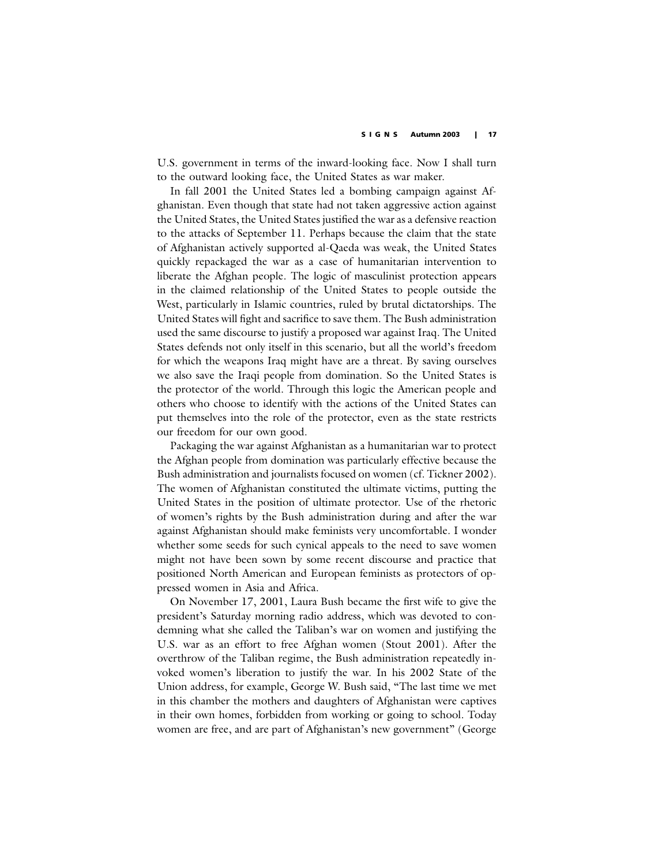U.S. government in terms of the inward-looking face. Now I shall turn to the outward looking face, the United States as war maker.

In fall 2001 the United States led a bombing campaign against Afghanistan. Even though that state had not taken aggressive action against the United States, the United States justified the war as a defensive reaction to the attacks of September 11. Perhaps because the claim that the state of Afghanistan actively supported al-Qaeda was weak, the United States quickly repackaged the war as a case of humanitarian intervention to liberate the Afghan people. The logic of masculinist protection appears in the claimed relationship of the United States to people outside the West, particularly in Islamic countries, ruled by brutal dictatorships. The United States will fight and sacrifice to save them. The Bush administration used the same discourse to justify a proposed war against Iraq. The United States defends not only itself in this scenario, but all the world's freedom for which the weapons Iraq might have are a threat. By saving ourselves we also save the Iraqi people from domination. So the United States is the protector of the world. Through this logic the American people and others who choose to identify with the actions of the United States can put themselves into the role of the protector, even as the state restricts our freedom for our own good.

Packaging the war against Afghanistan as a humanitarian war to protect the Afghan people from domination was particularly effective because the Bush administration and journalists focused on women (cf. Tickner 2002). The women of Afghanistan constituted the ultimate victims, putting the United States in the position of ultimate protector. Use of the rhetoric of women's rights by the Bush administration during and after the war against Afghanistan should make feminists very uncomfortable. I wonder whether some seeds for such cynical appeals to the need to save women might not have been sown by some recent discourse and practice that positioned North American and European feminists as protectors of oppressed women in Asia and Africa.

On November 17, 2001, Laura Bush became the first wife to give the president's Saturday morning radio address, which was devoted to condemning what she called the Taliban's war on women and justifying the U.S. war as an effort to free Afghan women (Stout 2001). After the overthrow of the Taliban regime, the Bush administration repeatedly invoked women's liberation to justify the war. In his 2002 State of the Union address, for example, George W. Bush said, "The last time we met in this chamber the mothers and daughters of Afghanistan were captives in their own homes, forbidden from working or going to school. Today women are free, and are part of Afghanistan's new government" (George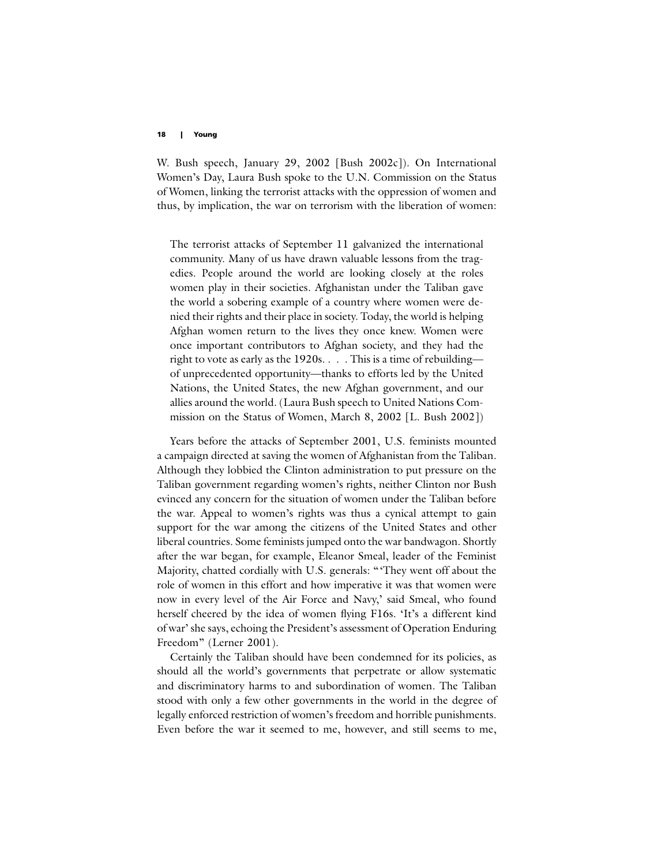W. Bush speech, January 29, 2002 [Bush 2002c]). On International Women's Day, Laura Bush spoke to the U.N. Commission on the Status of Women, linking the terrorist attacks with the oppression of women and thus, by implication, the war on terrorism with the liberation of women:

The terrorist attacks of September 11 galvanized the international community. Many of us have drawn valuable lessons from the tragedies. People around the world are looking closely at the roles women play in their societies. Afghanistan under the Taliban gave the world a sobering example of a country where women were denied their rights and their place in society. Today, the world is helping Afghan women return to the lives they once knew. Women were once important contributors to Afghan society, and they had the right to vote as early as the 1920s. . . . This is a time of rebuilding of unprecedented opportunity—thanks to efforts led by the United Nations, the United States, the new Afghan government, and our allies around the world. (Laura Bush speech to United Nations Commission on the Status of Women, March 8, 2002 [L. Bush 2002])

Years before the attacks of September 2001, U.S. feminists mounted a campaign directed at saving the women of Afghanistan from the Taliban. Although they lobbied the Clinton administration to put pressure on the Taliban government regarding women's rights, neither Clinton nor Bush evinced any concern for the situation of women under the Taliban before the war. Appeal to women's rights was thus a cynical attempt to gain support for the war among the citizens of the United States and other liberal countries. Some feminists jumped onto the war bandwagon. Shortly after the war began, for example, Eleanor Smeal, leader of the Feminist Majority, chatted cordially with U.S. generals: "'They went off about the role of women in this effort and how imperative it was that women were now in every level of the Air Force and Navy,' said Smeal, who found herself cheered by the idea of women flying F16s. 'It's a different kind of war' she says, echoing the President's assessment of Operation Enduring Freedom" (Lerner 2001).

Certainly the Taliban should have been condemned for its policies, as should all the world's governments that perpetrate or allow systematic and discriminatory harms to and subordination of women. The Taliban stood with only a few other governments in the world in the degree of legally enforced restriction of women's freedom and horrible punishments. Even before the war it seemed to me, however, and still seems to me,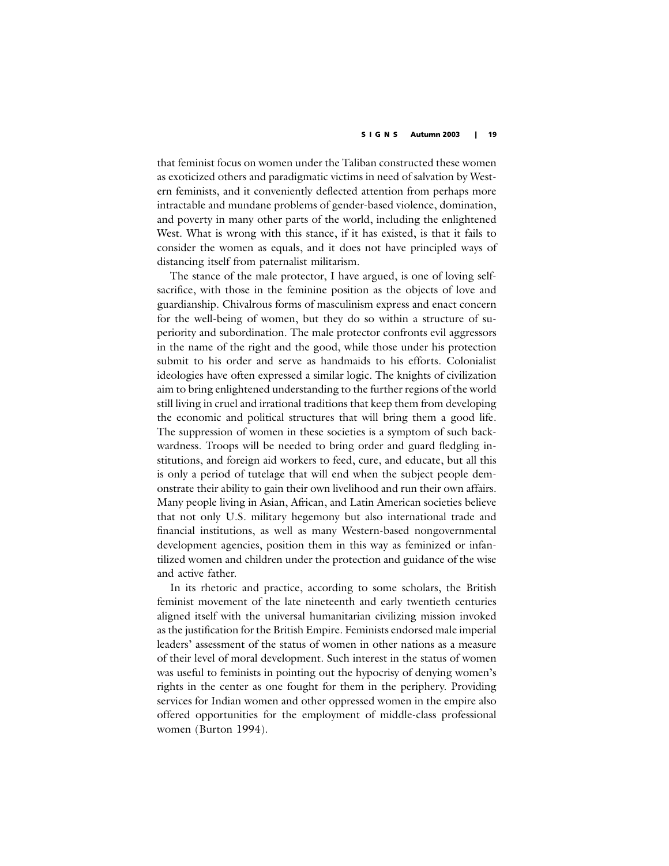that feminist focus on women under the Taliban constructed these women as exoticized others and paradigmatic victims in need of salvation by Western feminists, and it conveniently deflected attention from perhaps more intractable and mundane problems of gender-based violence, domination, and poverty in many other parts of the world, including the enlightened West. What is wrong with this stance, if it has existed, is that it fails to consider the women as equals, and it does not have principled ways of distancing itself from paternalist militarism.

The stance of the male protector, I have argued, is one of loving selfsacrifice, with those in the feminine position as the objects of love and guardianship. Chivalrous forms of masculinism express and enact concern for the well-being of women, but they do so within a structure of superiority and subordination. The male protector confronts evil aggressors in the name of the right and the good, while those under his protection submit to his order and serve as handmaids to his efforts. Colonialist ideologies have often expressed a similar logic. The knights of civilization aim to bring enlightened understanding to the further regions of the world still living in cruel and irrational traditions that keep them from developing the economic and political structures that will bring them a good life. The suppression of women in these societies is a symptom of such backwardness. Troops will be needed to bring order and guard fledgling institutions, and foreign aid workers to feed, cure, and educate, but all this is only a period of tutelage that will end when the subject people demonstrate their ability to gain their own livelihood and run their own affairs. Many people living in Asian, African, and Latin American societies believe that not only U.S. military hegemony but also international trade and financial institutions, as well as many Western-based nongovernmental development agencies, position them in this way as feminized or infantilized women and children under the protection and guidance of the wise and active father.

In its rhetoric and practice, according to some scholars, the British feminist movement of the late nineteenth and early twentieth centuries aligned itself with the universal humanitarian civilizing mission invoked as the justification for the British Empire. Feminists endorsed male imperial leaders' assessment of the status of women in other nations as a measure of their level of moral development. Such interest in the status of women was useful to feminists in pointing out the hypocrisy of denying women's rights in the center as one fought for them in the periphery. Providing services for Indian women and other oppressed women in the empire also offered opportunities for the employment of middle-class professional women (Burton 1994).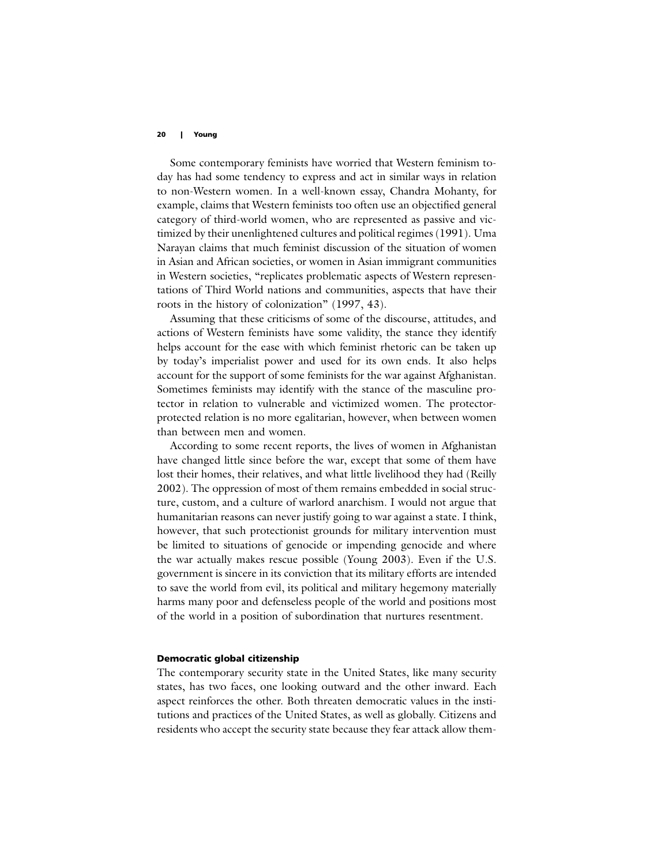Some contemporary feminists have worried that Western feminism today has had some tendency to express and act in similar ways in relation to non-Western women. In a well-known essay, Chandra Mohanty, for example, claims that Western feminists too often use an objectified general category of third-world women, who are represented as passive and victimized by their unenlightened cultures and political regimes (1991). Uma Narayan claims that much feminist discussion of the situation of women in Asian and African societies, or women in Asian immigrant communities in Western societies, "replicates problematic aspects of Western representations of Third World nations and communities, aspects that have their roots in the history of colonization" (1997, 43).

Assuming that these criticisms of some of the discourse, attitudes, and actions of Western feminists have some validity, the stance they identify helps account for the ease with which feminist rhetoric can be taken up by today's imperialist power and used for its own ends. It also helps account for the support of some feminists for the war against Afghanistan. Sometimes feminists may identify with the stance of the masculine protector in relation to vulnerable and victimized women. The protectorprotected relation is no more egalitarian, however, when between women than between men and women.

According to some recent reports, the lives of women in Afghanistan have changed little since before the war, except that some of them have lost their homes, their relatives, and what little livelihood they had (Reilly 2002). The oppression of most of them remains embedded in social structure, custom, and a culture of warlord anarchism. I would not argue that humanitarian reasons can never justify going to war against a state. I think, however, that such protectionist grounds for military intervention must be limited to situations of genocide or impending genocide and where the war actually makes rescue possible (Young 2003). Even if the U.S. government is sincere in its conviction that its military efforts are intended to save the world from evil, its political and military hegemony materially harms many poor and defenseless people of the world and positions most of the world in a position of subordination that nurtures resentment.

## **Democratic global citizenship**

The contemporary security state in the United States, like many security states, has two faces, one looking outward and the other inward. Each aspect reinforces the other. Both threaten democratic values in the institutions and practices of the United States, as well as globally. Citizens and residents who accept the security state because they fear attack allow them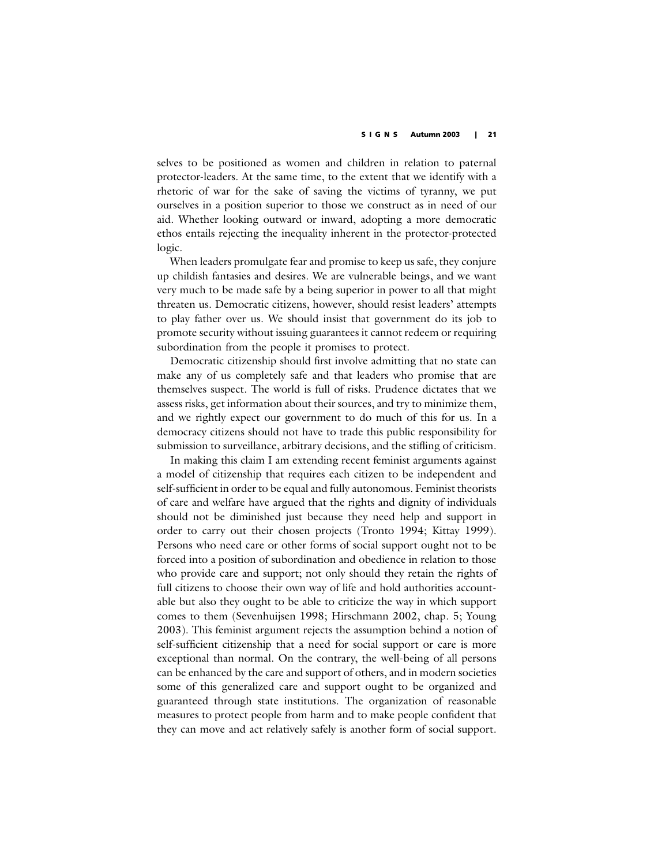selves to be positioned as women and children in relation to paternal protector-leaders. At the same time, to the extent that we identify with a rhetoric of war for the sake of saving the victims of tyranny, we put ourselves in a position superior to those we construct as in need of our aid. Whether looking outward or inward, adopting a more democratic ethos entails rejecting the inequality inherent in the protector-protected logic.

When leaders promulgate fear and promise to keep us safe, they conjure up childish fantasies and desires. We are vulnerable beings, and we want very much to be made safe by a being superior in power to all that might threaten us. Democratic citizens, however, should resist leaders' attempts to play father over us. We should insist that government do its job to promote security without issuing guarantees it cannot redeem or requiring subordination from the people it promises to protect.

Democratic citizenship should first involve admitting that no state can make any of us completely safe and that leaders who promise that are themselves suspect. The world is full of risks. Prudence dictates that we assess risks, get information about their sources, and try to minimize them, and we rightly expect our government to do much of this for us. In a democracy citizens should not have to trade this public responsibility for submission to surveillance, arbitrary decisions, and the stifling of criticism.

In making this claim I am extending recent feminist arguments against a model of citizenship that requires each citizen to be independent and self-sufficient in order to be equal and fully autonomous. Feminist theorists of care and welfare have argued that the rights and dignity of individuals should not be diminished just because they need help and support in order to carry out their chosen projects (Tronto 1994; Kittay 1999). Persons who need care or other forms of social support ought not to be forced into a position of subordination and obedience in relation to those who provide care and support; not only should they retain the rights of full citizens to choose their own way of life and hold authorities accountable but also they ought to be able to criticize the way in which support comes to them (Sevenhuijsen 1998; Hirschmann 2002, chap. 5; Young 2003). This feminist argument rejects the assumption behind a notion of self-sufficient citizenship that a need for social support or care is more exceptional than normal. On the contrary, the well-being of all persons can be enhanced by the care and support of others, and in modern societies some of this generalized care and support ought to be organized and guaranteed through state institutions. The organization of reasonable measures to protect people from harm and to make people confident that they can move and act relatively safely is another form of social support.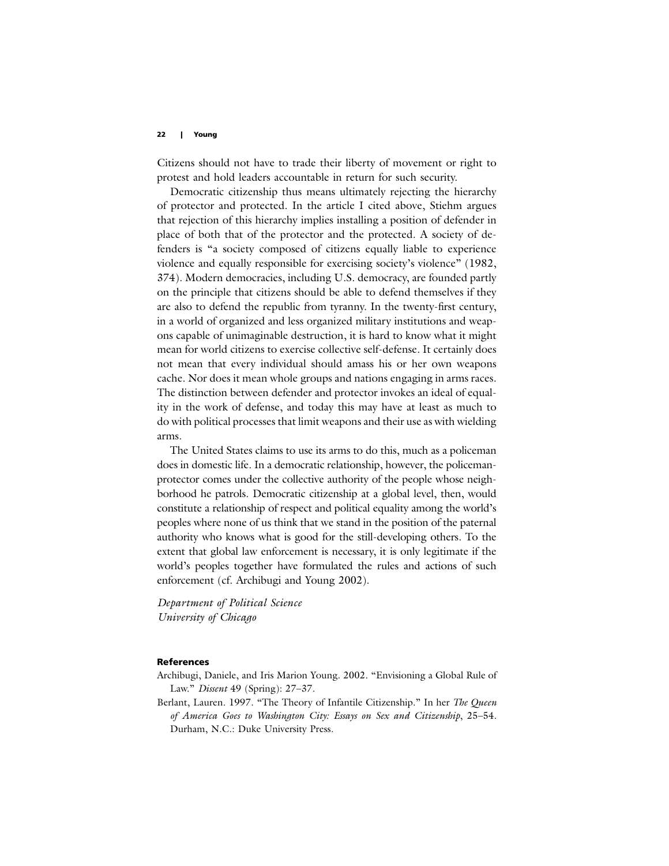Citizens should not have to trade their liberty of movement or right to protest and hold leaders accountable in return for such security.

Democratic citizenship thus means ultimately rejecting the hierarchy of protector and protected. In the article I cited above, Stiehm argues that rejection of this hierarchy implies installing a position of defender in place of both that of the protector and the protected. A society of defenders is "a society composed of citizens equally liable to experience violence and equally responsible for exercising society's violence" (1982, 374). Modern democracies, including U.S. democracy, are founded partly on the principle that citizens should be able to defend themselves if they are also to defend the republic from tyranny. In the twenty-first century, in a world of organized and less organized military institutions and weapons capable of unimaginable destruction, it is hard to know what it might mean for world citizens to exercise collective self-defense. It certainly does not mean that every individual should amass his or her own weapons cache. Nor does it mean whole groups and nations engaging in arms races. The distinction between defender and protector invokes an ideal of equality in the work of defense, and today this may have at least as much to do with political processes that limit weapons and their use as with wielding arms.

The United States claims to use its arms to do this, much as a policeman does in domestic life. In a democratic relationship, however, the policemanprotector comes under the collective authority of the people whose neighborhood he patrols. Democratic citizenship at a global level, then, would constitute a relationship of respect and political equality among the world's peoples where none of us think that we stand in the position of the paternal authority who knows what is good for the still-developing others. To the extent that global law enforcement is necessary, it is only legitimate if the world's peoples together have formulated the rules and actions of such enforcement (cf. Archibugi and Young 2002).

*Department of Political Science University of Chicago*

# **References**

- Archibugi, Daniele, and Iris Marion Young. 2002. "Envisioning a Global Rule of Law." *Dissent* 49 (Spring): 27–37.
- Berlant, Lauren. 1997. "The Theory of Infantile Citizenship." In her *The Queen of America Goes to Washington City: Essays on Sex and Citizenship*, 25–54. Durham, N.C.: Duke University Press.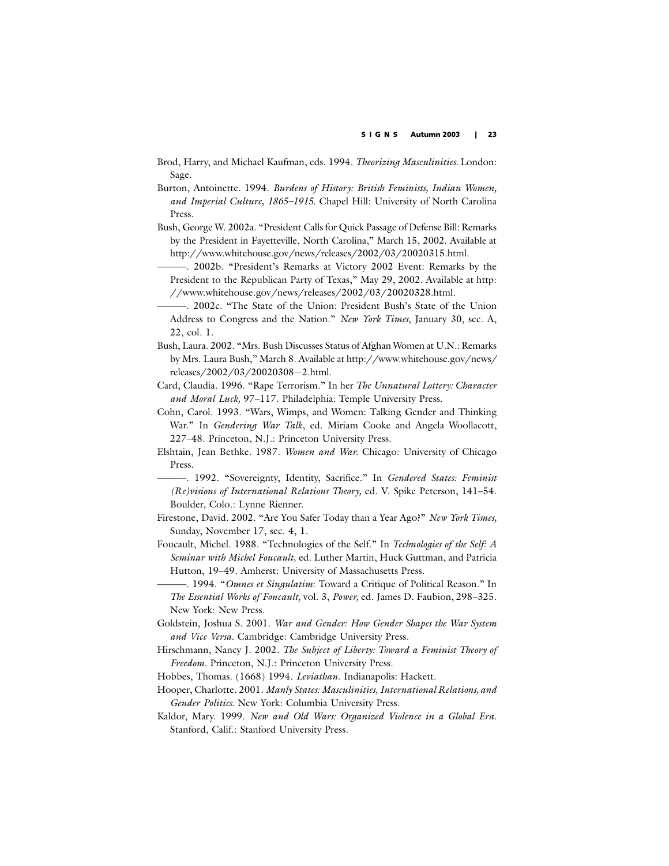- Brod, Harry, and Michael Kaufman, eds. 1994. *Theorizing Masculinities.* London: Sage.
- Burton, Antoinette. 1994. *Burdens of History: British Feminists, Indian Women, and Imperial Culture, 1865–1915.* Chapel Hill: University of North Carolina Press.
- Bush, George W. 2002a. "President Calls for Quick Passage of Defense Bill: Remarks by the President in Fayetteville, North Carolina," March 15, 2002. Available at http://www.whitehouse.gov/news/releases/2002/03/20020315.html.
	- -. 2002b. "President's Remarks at Victory 2002 Event: Remarks by the President to the Republican Party of Texas," May 29, 2002. Available at http: //www.whitehouse.gov/news/releases/2002/03/20020328.html.
	- ———. 2002c. "The State of the Union: President Bush's State of the Union Address to Congress and the Nation." *New York Times*, January 30, sec. A, 22, col. 1.
- Bush, Laura. 2002. "Mrs. Bush Discusses Status of Afghan Women at U.N.: Remarks by Mrs. Laura Bush," March 8. Available at http://www.whitehouse.gov/news/ releases/2002/03/20020308-2.html.
- Card, Claudia. 1996. "Rape Terrorism." In her *The Unnatural Lottery: Character and Moral Luck,* 97–117. Philadelphia: Temple University Press.
- Cohn, Carol. 1993. "Wars, Wimps, and Women: Talking Gender and Thinking War." In *Gendering War Talk*, ed. Miriam Cooke and Angela Woollacott, 227–48. Princeton, N.J.: Princeton University Press.
- Elshtain, Jean Bethke. 1987. *Women and War.* Chicago: University of Chicago Press.
- ———. 1992. "Sovereignty, Identity, Sacrifice." In *Gendered States: Feminist (Re)visions of International Relations Theory,* ed. V. Spike Peterson, 141–54. Boulder, Colo.: Lynne Rienner.
- Firestone, David. 2002. "Are You Safer Today than a Year Ago?" *New York Times,* Sunday, November 17, sec. 4, 1.
- Foucault, Michel. 1988. "Technologies of the Self." In *Technologies of the Self: A Seminar with Michel Foucault,* ed. Luther Martin, Huck Guttman, and Patricia Hutton, 19–49. Amherst: University of Massachusetts Press.
- ———. 1994. "*Omnes et Singulatim*: Toward a Critique of Political Reason." In *The Essential Works of Foucault,* vol. 3, *Power,* ed. James D. Faubion, 298–325. New York: New Press.
- Goldstein, Joshua S. 2001. *War and Gender: How Gender Shapes the War System and Vice Versa.* Cambridge: Cambridge University Press.
- Hirschmann, Nancy J. 2002. *The Subject of Liberty: Toward a Feminist Theory of Freedom.* Princeton, N.J.: Princeton University Press.
- Hobbes, Thomas. (1668) 1994. *Leviathan*. Indianapolis: Hackett.
- Hooper, Charlotte. 2001. *Manly States: Masculinities, International Relations, and Gender Politics.* New York: Columbia University Press.
- Kaldor, Mary. 1999. *New and Old Wars: Organized Violence in a Global Era.* Stanford, Calif.: Stanford University Press.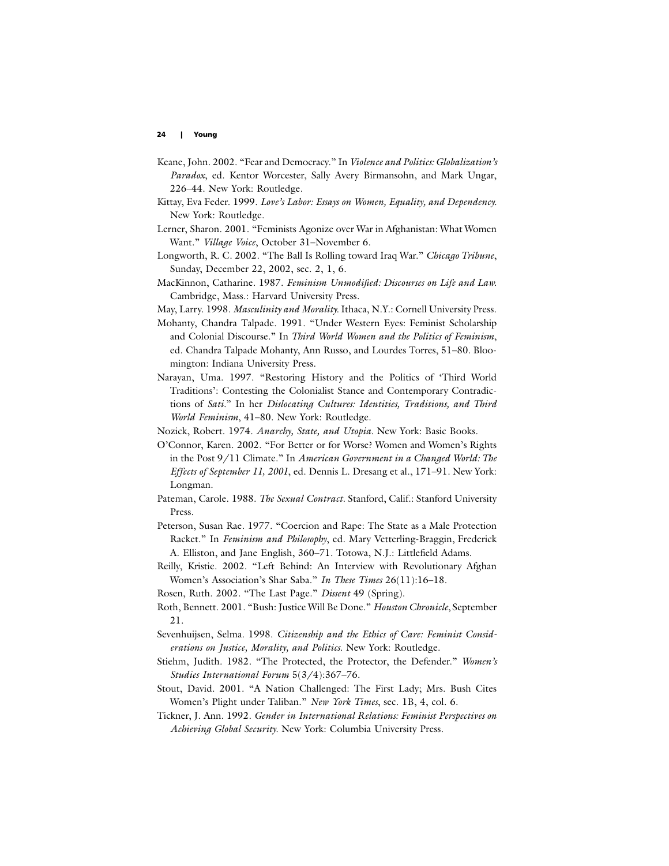- Keane, John. 2002. "Fear and Democracy." In *Violence and Politics: Globalization's Paradox*, ed. Kentor Worcester, Sally Avery Birmansohn, and Mark Ungar, 226–44. New York: Routledge.
- Kittay, Eva Feder. 1999. *Love's Labor: Essays on Women, Equality, and Dependency.* New York: Routledge.
- Lerner, Sharon. 2001. "Feminists Agonize over War in Afghanistan: What Women Want." *Village Voice*, October 31–November 6.
- Longworth, R. C. 2002. "The Ball Is Rolling toward Iraq War." *Chicago Tribune*, Sunday, December 22, 2002, sec. 2, 1, 6.
- MacKinnon, Catharine. 1987. *Feminism Unmodified: Discourses on Life and Law.* Cambridge, Mass.: Harvard University Press.
- May, Larry. 1998. *Masculinity and Morality.* Ithaca, N.Y.: Cornell University Press.
- Mohanty, Chandra Talpade. 1991. "Under Western Eyes: Feminist Scholarship and Colonial Discourse." In *Third World Women and the Politics of Feminism*, ed. Chandra Talpade Mohanty, Ann Russo, and Lourdes Torres, 51–80. Bloomington: Indiana University Press.
- Narayan, Uma. 1997. "Restoring History and the Politics of 'Third World Traditions': Contesting the Colonialist Stance and Contemporary Contradictions of *Sati.*" In her *Dislocating Cultures: Identities, Traditions, and Third World Feminism*, 41–80. New York: Routledge.
- Nozick, Robert. 1974. *Anarchy, State, and Utopia.* New York: Basic Books.
- O'Connor, Karen. 2002. "For Better or for Worse? Women and Women's Rights in the Post 9/11 Climate." In *American Government in a Changed World: The Effects of September 11, 2001*, ed. Dennis L. Dresang et al., 171–91. New York: Longman.
- Pateman, Carole. 1988. *The Sexual Contract.* Stanford, Calif.: Stanford University Press.
- Peterson, Susan Rae. 1977. "Coercion and Rape: The State as a Male Protection Racket." In *Feminism and Philosophy*, ed. Mary Vetterling-Braggin, Frederick A. Elliston, and Jane English, 360–71. Totowa, N.J.: Littlefield Adams.
- Reilly, Kristie. 2002. "Left Behind: An Interview with Revolutionary Afghan Women's Association's Shar Saba." *In These Times* 26(11):16–18.
- Rosen, Ruth. 2002. "The Last Page." *Dissent* 49 (Spring).
- Roth, Bennett. 2001. "Bush: Justice Will Be Done." *Houston Chronicle*, September 21.
- Sevenhuijsen, Selma. 1998. *Citizenship and the Ethics of Care: Feminist Considerations on Justice, Morality, and Politics.* New York: Routledge.
- Stiehm, Judith. 1982. "The Protected, the Protector, the Defender." *Women's Studies International Forum* 5(3/4):367–76.
- Stout, David. 2001. "A Nation Challenged: The First Lady; Mrs. Bush Cites Women's Plight under Taliban." *New York Times*, sec. 1B, 4, col. 6.
- Tickner, J. Ann. 1992. *Gender in International Relations: Feminist Perspectives on Achieving Global Security.* New York: Columbia University Press.